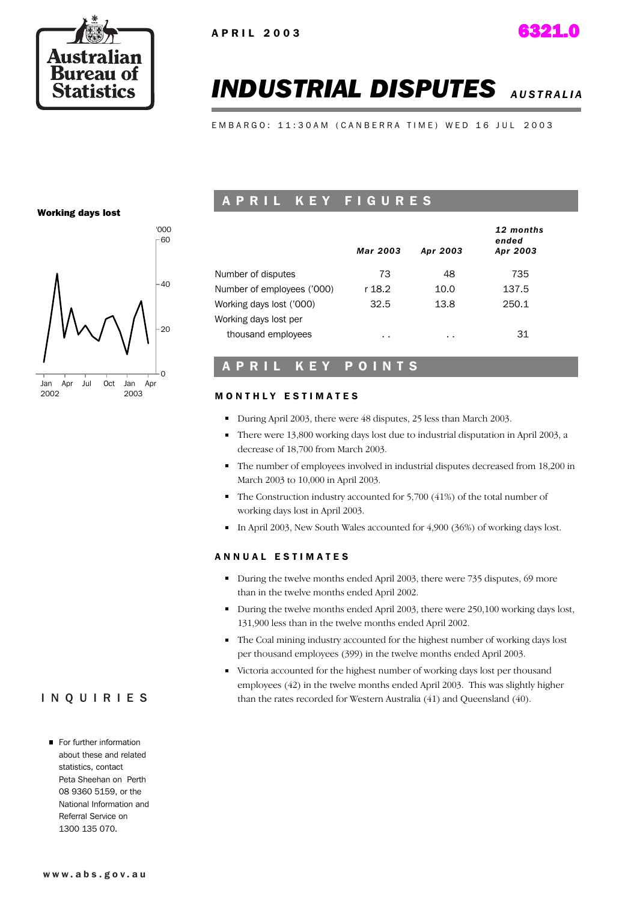

# *INDUSTRIAL DISPUTES AUSTRALIA*

EMBARGO: 11:30AM (CANBERRA TIME) WED 16 JUL 2003

### Working days lost



## A P R I L K E Y F I G U R E S

|                            | Mar 2003 | Apr 2003 | 12 months<br>ended<br>Apr 2003 |
|----------------------------|----------|----------|--------------------------------|
| Number of disputes         | 73       | 48       | 735                            |
| Number of employees ('000) | r 18.2   | 10.0     | 137.5                          |
| Working days lost ('000)   | 32.5     | 13.8     | 250.1                          |
| Working days lost per      |          |          |                                |
| thousand employees         | $\sim$   | $\sim$   | 31                             |

## A P R I L K E Y P O I N T S

### **MONTHLY ESTIMATES**

- During April 2003, there were 48 disputes, 25 less than March 2003.
- There were 13,800 working days lost due to industrial disputation in April 2003, a decrease of 18,700 from March 2003.
- The number of employees involved in industrial disputes decreased from 18,200 in March 2003 to 10,000 in April 2003.
- The Construction industry accounted for 5,700 (41%) of the total number of working days lost in April 2003.
- In April 2003, New South Wales accounted for  $4,900$  (36%) of working days lost.

### A N N U A L E S T I M A T E S

- During the twelve months ended April 2003, there were 735 disputes, 69 more than in the twelve months ended April 2002.
- During the twelve months ended April 2003, there were 250,100 working days lost, 131,900 less than in the twelve months ended April 2002.
- The Coal mining industry accounted for the highest number of working days lost per thousand employees (399) in the twelve months ended April 2003.
- Victoria accounted for the highest number of working days lost per thousand employees (42) in the twelve months ended April 2003. This was slightly higher than the rates recorded for Western Australia (41) and Queensland (40).

## INQUIRIES

For further information about these and related statistics, contact Peta Sheehan on Perth 08 9360 5159, or the National Information and Referral Service on 1300 135 070.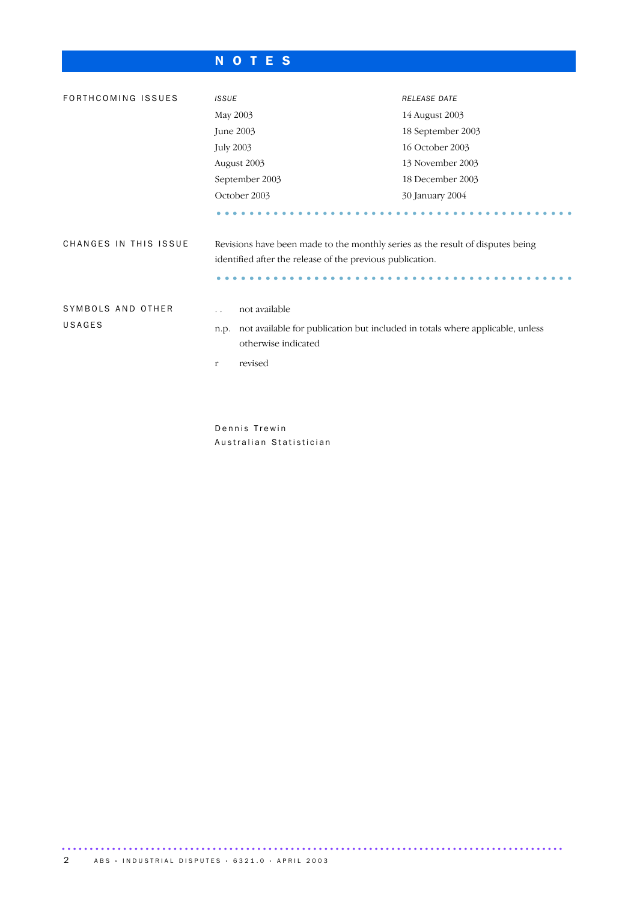## N O T E S

| FORTHCOMING ISSUES          | <b>ISSUE</b>                                                                                                                                          | <b>RELEASE DATE</b> |  |  |  |
|-----------------------------|-------------------------------------------------------------------------------------------------------------------------------------------------------|---------------------|--|--|--|
|                             | May 2003                                                                                                                                              | 14 August 2003      |  |  |  |
|                             | June 2003                                                                                                                                             | 18 September 2003   |  |  |  |
|                             | <b>July 2003</b>                                                                                                                                      | 16 October 2003     |  |  |  |
|                             | August 2003                                                                                                                                           | 13 November 2003    |  |  |  |
|                             | September 2003                                                                                                                                        | 18 December 2003    |  |  |  |
|                             | October 2003                                                                                                                                          | 30 January 2004     |  |  |  |
|                             |                                                                                                                                                       |                     |  |  |  |
| CHANGES IN THIS ISSUE       | Revisions have been made to the monthly series as the result of disputes being<br>identified after the release of the previous publication.           |                     |  |  |  |
|                             |                                                                                                                                                       |                     |  |  |  |
| SYMBOLS AND OTHER<br>USAGES | not available<br>$\ddot{\phantom{0}}$<br>not available for publication but included in totals where applicable, unless<br>n.p.<br>otherwise indicated |                     |  |  |  |
|                             | revised<br>$\mathbf{r}$                                                                                                                               |                     |  |  |  |

Dennis Trewin Australian Statistician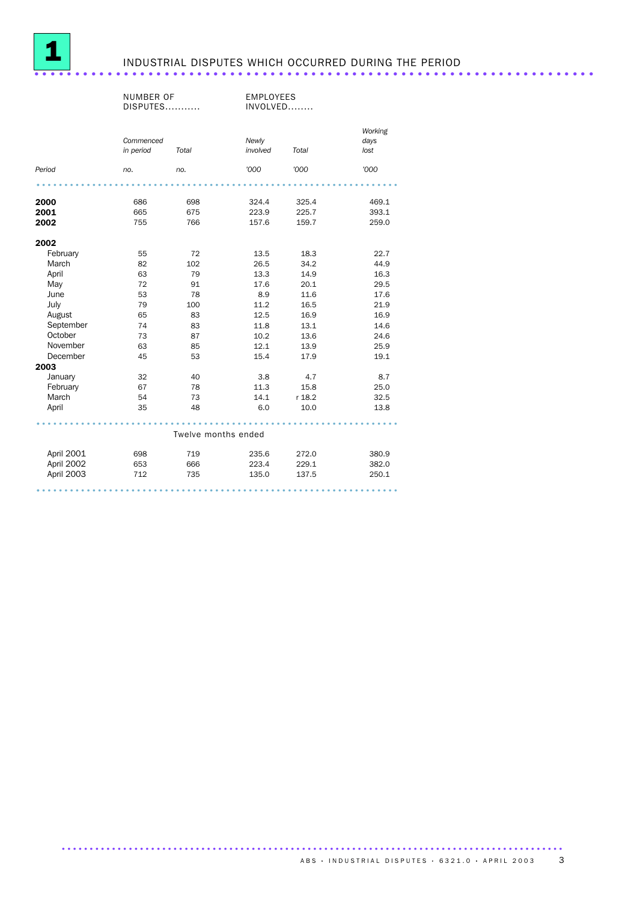

## INDUSTRIAL DISPUTES WHICH OCCURRED DURING THE PERIOD ............................

|            | NUMBER OF<br>DISPUTES  |                     | <b>EMPLOYEES</b><br>INVOLVED |        |                         |
|------------|------------------------|---------------------|------------------------------|--------|-------------------------|
|            | Commenced<br>in period | Total               | Newly<br>involved            | Total  | Working<br>days<br>lost |
| Period     | no.                    | no.                 | '000                         | '000   | '000                    |
|            |                        |                     |                              |        |                         |
| 2000       | 686                    | 698                 | 324.4                        | 325.4  | 469.1                   |
| 2001       | 665                    | 675                 | 223.9                        | 225.7  | 393.1                   |
| 2002       | 755                    | 766                 | 157.6                        | 159.7  | 259.0                   |
| 2002       |                        |                     |                              |        |                         |
| February   | 55                     | 72                  | 13.5                         | 18.3   | 22.7                    |
| March      | 82                     | 102                 | 26.5                         | 34.2   | 44.9                    |
| April      | 63                     | 79                  | 13.3                         | 14.9   | 16.3                    |
| May        | 72                     | 91                  | 17.6                         | 20.1   | 29.5                    |
| June       | 53                     | 78                  | 8.9                          | 11.6   | 17.6                    |
| July       | 79                     | 100                 | 11.2                         | 16.5   | 21.9                    |
| August     | 65                     | 83                  | 12.5                         | 16.9   | 16.9                    |
| September  | 74                     | 83                  | 11.8                         | 13.1   | 14.6                    |
| October    | 73                     | 87                  | 10.2                         | 13.6   | 24.6                    |
| November   | 63                     | 85                  | 12.1                         | 13.9   | 25.9                    |
| December   | 45                     | 53                  | 15.4                         | 17.9   | 19.1                    |
| 2003       |                        |                     |                              |        |                         |
| January    | 32                     | 40                  | 3.8                          | 4.7    | 8.7                     |
| February   | 67                     | 78                  | 11.3                         | 15.8   | 25.0                    |
| March      | 54                     | 73                  | 14.1                         | r 18.2 | 32.5                    |
| April      | 35                     | 48                  | 6.0                          | 10.0   | 13.8                    |
|            |                        | Twelve months ended |                              |        |                         |
| April 2001 | 698                    | 719                 | 235.6                        | 272.0  | 380.9                   |
| April 2002 | 653                    | 666                 | 223.4                        | 229.1  | 382.0                   |
| April 2003 | 712                    | 735                 | 135.0                        | 137.5  | 250.1                   |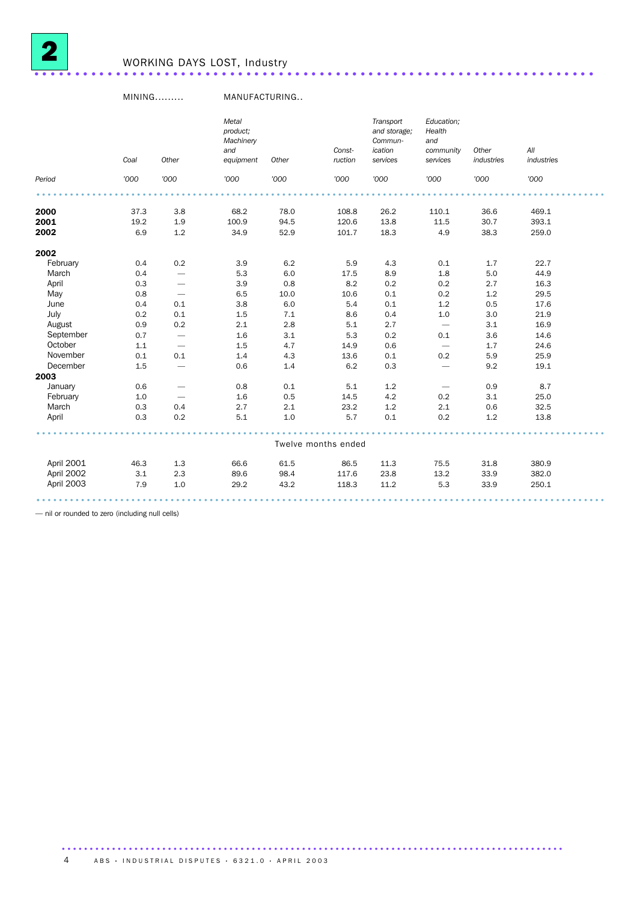

## WORKING DAYS LOST, Industry .....................................................................

### MINING......... MANUFACTURING..

|            | Coal | Other                    | Metal<br>product;<br>Machinery<br>and<br>equipment | Other   | Const-<br>ruction   | Transport<br>and storage;<br>Commun-<br>ication<br>services | Education;<br>Health<br>and<br>community<br>services | Other<br>industries | All<br>industries |  |
|------------|------|--------------------------|----------------------------------------------------|---------|---------------------|-------------------------------------------------------------|------------------------------------------------------|---------------------|-------------------|--|
| Period     | '000 | '000                     | '000                                               | '000    | '000                | '000                                                        | '000                                                 | '000                | '000              |  |
|            |      |                          |                                                    |         |                     |                                                             |                                                      |                     |                   |  |
| 2000       | 37.3 | 3.8                      | 68.2                                               | 78.0    | 108.8               | 26.2                                                        | 110.1                                                | 36.6                | 469.1             |  |
| 2001       | 19.2 | 1.9                      | 100.9                                              | 94.5    | 120.6               | 13.8                                                        | 11.5                                                 | 30.7                | 393.1             |  |
| 2002       | 6.9  | 1.2                      | 34.9                                               | 52.9    | 101.7               | 18.3                                                        | 4.9                                                  | 38.3                | 259.0             |  |
| 2002       |      |                          |                                                    |         |                     |                                                             |                                                      |                     |                   |  |
| February   | 0.4  | 0.2                      | 3.9                                                | 6.2     | 5.9                 | 4.3                                                         | 0.1                                                  | 1.7                 | 22.7              |  |
| March      | 0.4  | $\overline{\phantom{0}}$ | 5.3                                                | 6.0     | 17.5                | 8.9                                                         | 1.8                                                  | 5.0                 | 44.9              |  |
| April      | 0.3  | $\overline{\phantom{0}}$ | 3.9                                                | 0.8     | 8.2                 | 0.2                                                         | 0.2                                                  | 2.7                 | 16.3              |  |
| May        | 0.8  | $\overline{\phantom{m}}$ | 6.5                                                | 10.0    | 10.6                | 0.1                                                         | 0.2                                                  | 1.2                 | 29.5              |  |
| June       | 0.4  | 0.1                      | 3.8                                                | 6.0     | 5.4                 | 0.1                                                         | 1.2                                                  | 0.5                 | 17.6              |  |
| July       | 0.2  | 0.1                      | 1.5                                                | 7.1     | 8.6                 | 0.4                                                         | $1.0\,$                                              | $3.0\,$             | 21.9              |  |
| August     | 0.9  | 0.2                      | 2.1                                                | $2.8\,$ | 5.1                 | 2.7                                                         | $\overline{\phantom{m}}$                             | 3.1                 | 16.9              |  |
| September  | 0.7  | $\qquad \qquad -$        | 1.6                                                | 3.1     | 5.3                 | 0.2                                                         | 0.1                                                  | 3.6                 | 14.6              |  |
| October    | 1.1  | $\qquad \qquad -$        | 1.5                                                | 4.7     | 14.9                | 0.6                                                         | $\overline{\phantom{m}}$                             | 1.7                 | 24.6              |  |
| November   | 0.1  | 0.1                      | 1.4                                                | 4.3     | 13.6                | 0.1                                                         | 0.2                                                  | 5.9                 | 25.9              |  |
| December   | 1.5  |                          | 0.6                                                | 1.4     | 6.2                 | 0.3                                                         | $\overline{\phantom{0}}$                             | 9.2                 | 19.1              |  |
| 2003       |      |                          |                                                    |         |                     |                                                             |                                                      |                     |                   |  |
| January    | 0.6  |                          | 0.8                                                | 0.1     | 5.1                 | 1.2                                                         |                                                      | 0.9                 | 8.7               |  |
| February   | 1.0  | $\overline{\phantom{0}}$ | 1.6                                                | 0.5     | 14.5                | 4.2                                                         | 0.2                                                  | 3.1                 | 25.0              |  |
| March      | 0.3  | 0.4                      | 2.7                                                | 2.1     | 23.2                | 1.2                                                         | 2.1                                                  | 0.6                 | 32.5              |  |
| April      | 0.3  | 0.2                      | 5.1                                                | $1.0$   | 5.7                 | 0.1                                                         | 0.2                                                  | 1.2                 | 13.8              |  |
|            |      |                          |                                                    |         |                     |                                                             |                                                      |                     |                   |  |
|            |      |                          |                                                    |         | Twelve months ended |                                                             |                                                      |                     |                   |  |
| April 2001 | 46.3 | 1.3                      | 66.6                                               | 61.5    | 86.5                | 11.3                                                        | 75.5                                                 | 31.8                | 380.9             |  |
| April 2002 | 3.1  | 2.3                      | 89.6                                               | 98.4    | 117.6               | 23.8                                                        | 13.2                                                 | 33.9                | 382.0             |  |
| April 2003 | 7.9  | 1.0                      | 29.2                                               | 43.2    | 118.3               | 11.2                                                        | 5.3                                                  | 33.9                | 250.1             |  |
|            |      |                          |                                                    |         |                     |                                                             |                                                      |                     |                   |  |

..........................................................................................

— nil or rounded to zero (including null cells)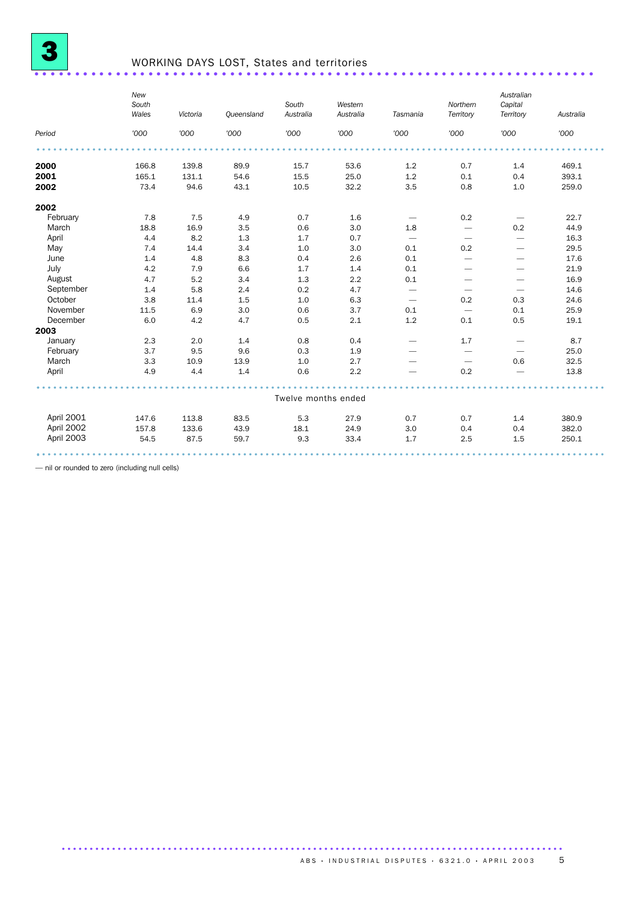

# WORKING DAYS LOST, States and territories .....................................................................

|            | New<br>South<br>Wales | Victoria | <b>Queensland</b> | South<br>Australia  | Western<br>Australia | Tasmania                        | Northern<br>Territory    | Australian<br>Capital<br>Territory | Australia |
|------------|-----------------------|----------|-------------------|---------------------|----------------------|---------------------------------|--------------------------|------------------------------------|-----------|
| Period     | '000                  | '000     | '000              | '000                | '000                 | '000                            | '000                     | '000                               | '000      |
|            |                       |          |                   |                     |                      |                                 |                          |                                    |           |
| 2000       | 166.8                 | 139.8    | 89.9              | 15.7                | 53.6                 | 1.2                             | 0.7                      | 1.4                                | 469.1     |
| 2001       | 165.1                 | 131.1    | 54.6              | 15.5                | 25.0                 | 1.2                             | 0.1                      | 0.4                                | 393.1     |
| 2002       | 73.4                  | 94.6     | 43.1              | 10.5                | 32.2                 | 3.5                             | 0.8                      | 1.0                                | 259.0     |
| 2002       |                       |          |                   |                     |                      |                                 |                          |                                    |           |
| February   | 7.8                   | 7.5      | 4.9               | 0.7                 | 1.6                  | $\hspace{0.1mm}-\hspace{0.1mm}$ | 0.2                      | $\hspace{0.1mm}-\hspace{0.1mm}$    | 22.7      |
| March      | 18.8                  | 16.9     | 3.5               | 0.6                 | 3.0                  | 1.8                             |                          | 0.2                                | 44.9      |
| April      | 4.4                   | 8.2      | 1.3               | 1.7                 | 0.7                  |                                 |                          |                                    | 16.3      |
| May        | 7.4                   | 14.4     | 3.4               | 1.0                 | 3.0                  | 0.1                             | 0.2                      | $\overbrace{\phantom{12333}}$      | 29.5      |
| June       | 1.4                   | 4.8      | 8.3               | 0.4                 | 2.6                  | 0.1                             | $\overline{\phantom{0}}$ | $\overbrace{\phantom{12333}}$      | 17.6      |
| July       | 4.2                   | 7.9      | 6.6               | 1.7                 | 1.4                  | 0.1                             |                          |                                    | 21.9      |
| August     | 4.7                   | 5.2      | 3.4               | 1.3                 | 2.2                  | 0.1                             |                          |                                    | 16.9      |
| September  | 1.4                   | 5.8      | 2.4               | 0.2                 | 4.7                  | $\overline{\phantom{m}}$        |                          |                                    | 14.6      |
| October    | 3.8                   | 11.4     | 1.5               | 1.0                 | 6.3                  |                                 | 0.2                      | 0.3                                | 24.6      |
| November   | 11.5                  | 6.9      | 3.0               | 0.6                 | 3.7                  | 0.1                             | $\overline{\phantom{0}}$ | 0.1                                | 25.9      |
| December   | 6.0                   | 4.2      | 4.7               | 0.5                 | 2.1                  | 1.2                             | 0.1                      | 0.5                                | 19.1      |
| 2003       |                       |          |                   |                     |                      |                                 |                          |                                    |           |
| January    | 2.3                   | 2.0      | 1.4               | 0.8                 | 0.4                  | $\overbrace{\phantom{12333}}$   | 1.7                      | $\overline{\phantom{m}}$           | 8.7       |
| February   | 3.7                   | 9.5      | 9.6               | 0.3                 | 1.9                  | $\overline{\phantom{0}}$        | $\overline{\phantom{0}}$ |                                    | 25.0      |
| March      | 3.3                   | 10.9     | 13.9              | 1.0                 | 2.7                  |                                 | $\overline{\phantom{0}}$ | 0.6                                | 32.5      |
| April      | 4.9                   | 4.4      | 1.4               | 0.6                 | 2.2                  |                                 | 0.2                      | $\overline{\phantom{0}}$           | 13.8      |
|            |                       |          |                   | Twelve months ended |                      |                                 |                          |                                    |           |
|            |                       |          |                   |                     |                      |                                 |                          |                                    |           |
| April 2001 | 147.6                 | 113.8    | 83.5              | 5.3                 | 27.9                 | 0.7                             | 0.7                      | 1.4                                | 380.9     |
| April 2002 | 157.8                 | 133.6    | 43.9              | 18.1                | 24.9                 | 3.0                             | 0.4                      | 0.4                                | 382.0     |
| April 2003 | 54.5                  | 87.5     | 59.7              | 9.3                 | 33.4                 | 1.7                             | 2.5                      | 1.5                                | 250.1     |
|            |                       |          |                   |                     |                      |                                 |                          |                                    |           |

— nil or rounded to zero (including null cells)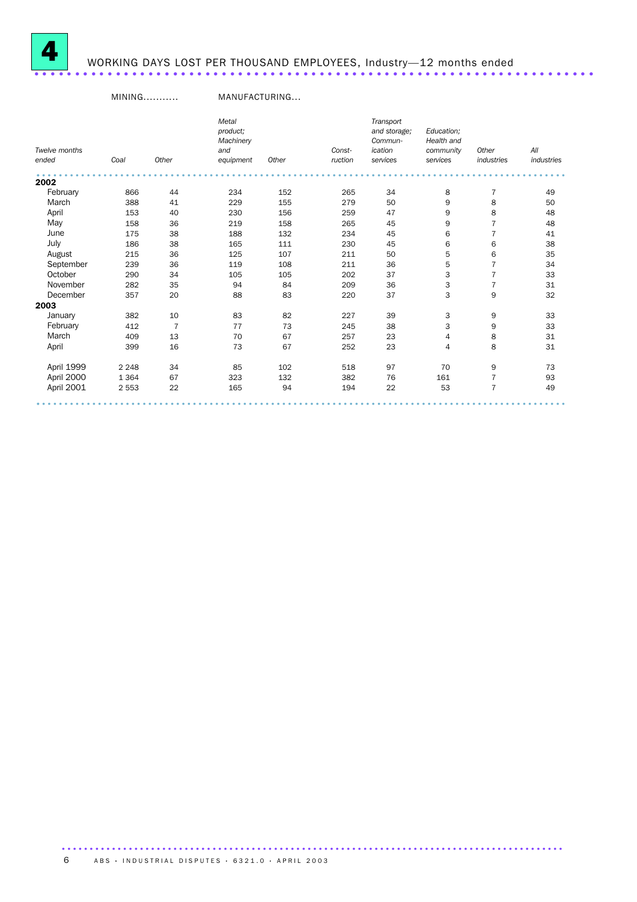

# WORKING DAYS LOST PER THOUSAND EMPLOYEES, Industry—12 months ended .....................................................................

## MINING........... MANUFACTURING...

|               |         |                | Metal<br>product; |       |         | Transport<br>and storage; | Education;  |                |            |
|---------------|---------|----------------|-------------------|-------|---------|---------------------------|-------------|----------------|------------|
|               |         |                | Machinery         |       |         | Commun-                   | Health and  |                |            |
| Twelve months |         |                | and               |       | Const-  | ication                   | community   | Other          | All        |
| ended         | Coal    | Other          | equipment         | Other | ruction | services                  | services    | industries     | industries |
| 2002          |         |                |                   |       |         |                           |             |                |            |
| February      | 866     | 44             | 234               | 152   | 265     | 34                        | 8           | $\overline{7}$ | 49         |
| March         | 388     | 41             | 229               | 155   | 279     | 50                        | 9           | 8              | 50         |
| April         | 153     | 40             | 230               | 156   | 259     | 47                        | 9           | 8              | 48         |
| May           | 158     | 36             | 219               | 158   | 265     | 45                        | $\mathsf 9$ | $\overline{7}$ | 48         |
| June          | 175     | 38             | 188               | 132   | 234     | 45                        | 6           | $\overline{7}$ | 41         |
| July          | 186     | 38             | 165               | 111   | 230     | 45                        | 6           | 6              | 38         |
| August        | 215     | 36             | 125               | 107   | 211     | 50                        | 5           | 6              | 35         |
| September     | 239     | 36             | 119               | 108   | 211     | 36                        | 5           | $\overline{7}$ | 34         |
| October       | 290     | 34             | 105               | 105   | 202     | 37                        | 3           | $\overline{7}$ | 33         |
| November      | 282     | 35             | 94                | 84    | 209     | 36                        | 3           | $\overline{7}$ | 31         |
| December      | 357     | 20             | 88                | 83    | 220     | 37                        | 3           | 9              | 32         |
| 2003          |         |                |                   |       |         |                           |             |                |            |
| January       | 382     | 10             | 83                | 82    | 227     | 39                        | 3           | 9              | 33         |
| February      | 412     | $\overline{7}$ | 77                | 73    | 245     | 38                        | 3           | 9              | 33         |
| March         | 409     | 13             | 70                | 67    | 257     | 23                        | 4           | 8              | 31         |
| April         | 399     | 16             | 73                | 67    | 252     | 23                        | 4           | 8              | 31         |
| April 1999    | 2 2 4 8 | 34             | 85                | 102   | 518     | 97                        | 70          | 9              | 73         |
| April 2000    | 1 3 6 4 | 67             | 323               | 132   | 382     | 76                        | 161         | $\overline{7}$ | 93         |
| April 2001    | 2 5 5 3 | 22             | 165               | 94    | 194     | 22                        | 53          | $\overline{7}$ | 49         |
|               |         |                |                   |       |         |                           |             |                |            |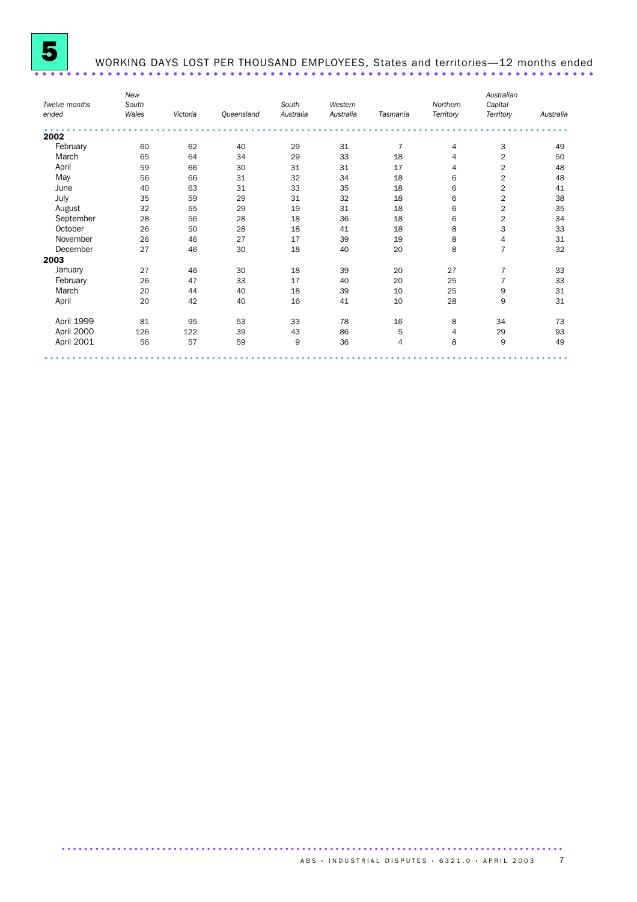

## WORKING DAYS LOST PER THOUSAND EMPLOYEES, States and territories—12 months ended .............................

|               | New   |          |            |           |           |                |           | Australian              |           |
|---------------|-------|----------|------------|-----------|-----------|----------------|-----------|-------------------------|-----------|
| Twelve months | South |          |            | South     | Western   |                | Northern  | Capital                 |           |
| ended         | Wales | Victoria | Queensland | Australia | Australia | Tasmania       | Territory | Territory               | Australia |
| 2002          |       |          |            |           |           |                |           |                         |           |
| February      | 60    | 62       | 40         | 29        | 31        | $\overline{7}$ | 4         | 3                       | 49        |
| March         | 65    | 64       | 34         | 29        | 33        | 18             | 4         | $\overline{2}$          | 50        |
| April         | 59    | 66       | 30         | 31        | 31        | 17             | 4         | 2                       | 48        |
| May           | 56    | 66       | 31         | 32        | 34        | 18             | 6         | $\overline{2}$          | 48        |
| June          | 40    | 63       | 31         | 33        | 35        | 18             | 6         | $\overline{2}$          | 41        |
| July          | 35    | 59       | 29         | 31        | 32        | 18             | 6         | $\overline{\mathbf{c}}$ | 38        |
| August        | 32    | 55       | 29         | 19        | 31        | 18             | 6         | $\overline{2}$          | 35        |
| September     | 28    | 56       | 28         | 18        | 36        | 18             | 6         | 2                       | 34        |
| October       | 26    | 50       | 28         | 18        | 41        | 18             | 8         | 3                       | 33        |
| November      | 26    | 46       | 27         | 17        | 39        | 19             | 8         | $\overline{4}$          | 31        |
| December      | 27    | 46       | 30         | 18        | 40        | 20             | 8         | $\overline{7}$          | 32        |
| 2003          |       |          |            |           |           |                |           |                         |           |
| January       | 27    | 46       | 30         | 18        | 39        | 20             | 27        | $\overline{7}$          | 33        |
| February      | 26    | 47       | 33         | 17        | 40        | 20             | 25        | $\overline{7}$          | 33        |
| March         | 20    | 44       | 40         | 18        | 39        | 10             | 25        | 9                       | 31        |
| April         | 20    | 42       | 40         | 16        | 41        | 10             | 28        | 9                       | 31        |
| April 1999    | 81    | 95       | 53         | 33        | 78        | 16             | 8         | 34                      | 73        |
| April 2000    | 126   | 122      | 39         | 43        | 86        | 5              | 4         | 29                      | 93        |
| April 2001    | 56    | 57       | 59         | 9         | 36        | 4              | 8         | 9                       | 49        |
|               |       |          |            |           |           |                |           |                         |           |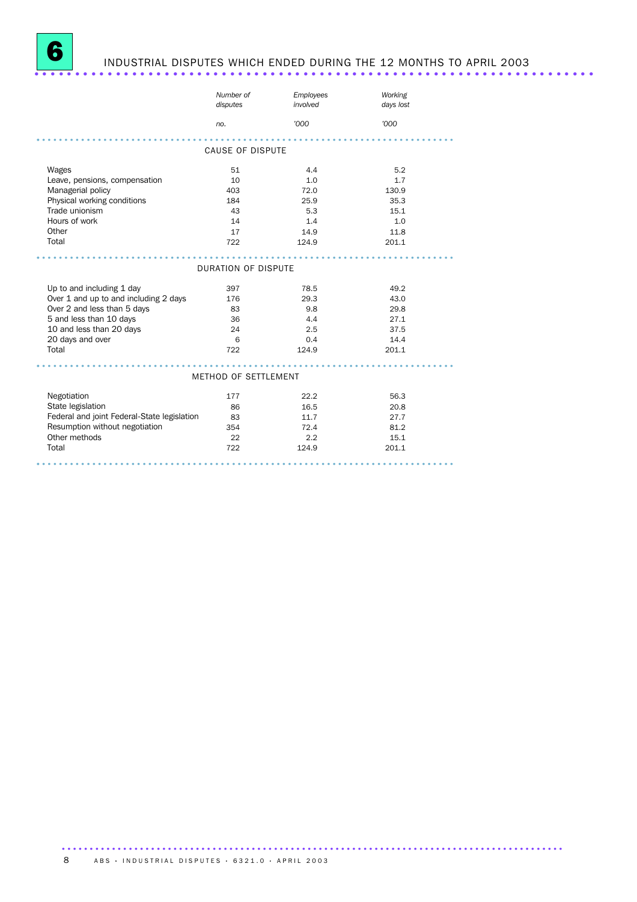

# INDUSTRIAL DISPUTES WHICH ENDED DURING THE 12 MONTHS TO APRIL 2003

|                                             | Number of<br>disputes   | Employees<br>involved | Working<br>days lost |
|---------------------------------------------|-------------------------|-----------------------|----------------------|
|                                             | no.                     | '000                  | '000                 |
|                                             |                         |                       |                      |
|                                             | <b>CAUSE OF DISPUTE</b> |                       |                      |
| Wages                                       | 51                      | 4.4                   | 5.2                  |
| Leave, pensions, compensation               | 10                      | 1.0                   | 1.7                  |
| Managerial policy                           | 403                     | 72.0                  | 130.9                |
| Physical working conditions                 | 184                     | 25.9                  | 35.3                 |
| Trade unionism                              | 43                      | 5.3                   | 15.1                 |
| Hours of work                               | 14                      | 1.4                   | 1.0                  |
| Other                                       | 17                      | 14.9                  | 11.8                 |
| Total                                       | 722                     | 124.9                 | 201.1                |
|                                             |                         |                       |                      |
|                                             | DURATION OF DISPUTE     |                       |                      |
| Up to and including 1 day                   | 397                     | 78.5                  | 49.2                 |
| Over 1 and up to and including 2 days       | 176                     | 29.3                  | 43.0                 |
| Over 2 and less than 5 days                 | 83                      | 9.8                   | 29.8                 |
| 5 and less than 10 days                     | 36                      | 4.4                   | 27.1                 |
| 10 and less than 20 days                    | 24                      | 2.5                   | 37.5                 |
| 20 days and over                            | 6                       | 0.4                   | 14.4                 |
| Total                                       | 722                     | 124.9                 | 201.1                |
|                                             |                         |                       |                      |
|                                             | METHOD OF SETTLEMENT    |                       |                      |
| Negotiation                                 | 177                     | 22.2                  | 56.3                 |
| State legislation                           | 86                      | 16.5                  | 20.8                 |
| Federal and joint Federal-State legislation | 83                      | 11.7                  | 27.7                 |
| Resumption without negotiation              | 354                     | 72.4                  | 81.2                 |
| Other methods                               | 22                      | 2.2                   | 15.1                 |
| Total                                       | 722                     | 124.9                 | 201.1                |
|                                             |                         |                       |                      |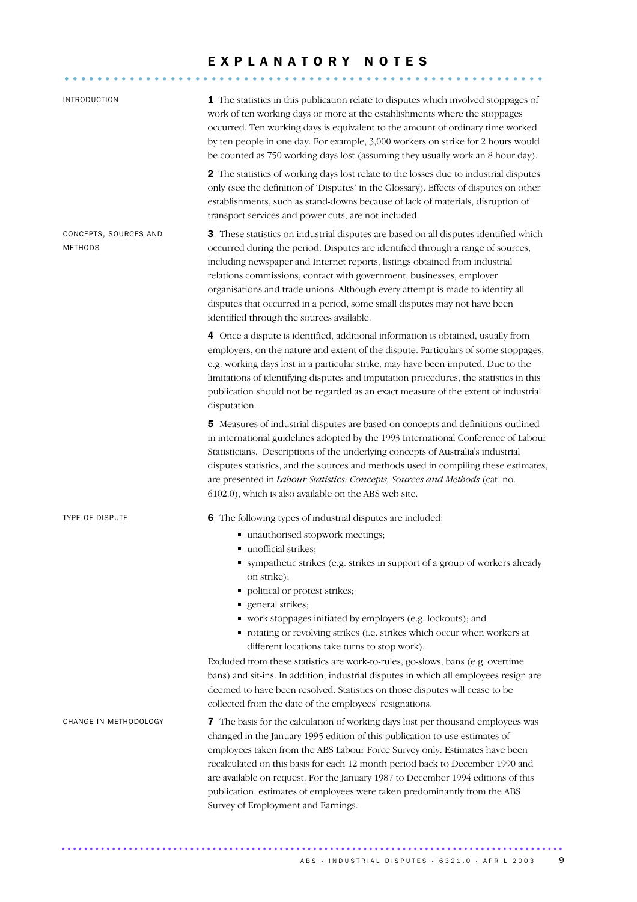## EXPLANATORY NOTES

........................................................... .....

| <b>INTRODUCTION</b>                     | 1 The statistics in this publication relate to disputes which involved stoppages of<br>work of ten working days or more at the establishments where the stoppages<br>occurred. Ten working days is equivalent to the amount of ordinary time worked<br>by ten people in one day. For example, 3,000 workers on strike for 2 hours would<br>be counted as 750 working days lost (assuming they usually work an 8 hour day).                                                                                                                 |
|-----------------------------------------|--------------------------------------------------------------------------------------------------------------------------------------------------------------------------------------------------------------------------------------------------------------------------------------------------------------------------------------------------------------------------------------------------------------------------------------------------------------------------------------------------------------------------------------------|
|                                         | 2 The statistics of working days lost relate to the losses due to industrial disputes<br>only (see the definition of 'Disputes' in the Glossary). Effects of disputes on other<br>establishments, such as stand-downs because of lack of materials, disruption of<br>transport services and power cuts, are not included.                                                                                                                                                                                                                  |
| CONCEPTS, SOURCES AND<br><b>METHODS</b> | 3 These statistics on industrial disputes are based on all disputes identified which<br>occurred during the period. Disputes are identified through a range of sources,<br>including newspaper and Internet reports, listings obtained from industrial<br>relations commissions, contact with government, businesses, employer<br>organisations and trade unions. Although every attempt is made to identify all<br>disputes that occurred in a period, some small disputes may not have been<br>identified through the sources available. |
|                                         | 4 Once a dispute is identified, additional information is obtained, usually from<br>employers, on the nature and extent of the dispute. Particulars of some stoppages,<br>e.g. working days lost in a particular strike, may have been imputed. Due to the<br>limitations of identifying disputes and imputation procedures, the statistics in this<br>publication should not be regarded as an exact measure of the extent of industrial<br>disputation.                                                                                  |
|                                         | 5 Measures of industrial disputes are based on concepts and definitions outlined<br>in international guidelines adopted by the 1993 International Conference of Labour<br>Statisticians. Descriptions of the underlying concepts of Australia's industrial<br>disputes statistics, and the sources and methods used in compiling these estimates,<br>are presented in Labour Statistics: Concepts, Sources and Methods (cat. no.<br>6102.0), which is also available on the ABS web site.                                                  |
| <b>TYPE OF DISPUTE</b>                  | 6 The following types of industrial disputes are included:<br>unauthorised stopwork meetings;<br>unofficial strikes;<br>" sympathetic strikes (e.g. strikes in support of a group of workers already<br>on strike);<br>political or protest strikes;<br>٠<br>general strikes;<br>ш<br>• work stoppages initiated by employers (e.g. lockouts); and<br>• rotating or revolving strikes (i.e. strikes which occur when workers at<br>different locations take turns to stop work).                                                           |
|                                         | Excluded from these statistics are work-to-rules, go-slows, bans (e.g. overtime<br>bans) and sit-ins. In addition, industrial disputes in which all employees resign are<br>deemed to have been resolved. Statistics on those disputes will cease to be<br>collected from the date of the employees' resignations.                                                                                                                                                                                                                         |
| CHANGE IN METHODOLOGY                   | 7 The basis for the calculation of working days lost per thousand employees was<br>changed in the January 1995 edition of this publication to use estimates of<br>employees taken from the ABS Labour Force Survey only. Estimates have been<br>recalculated on this basis for each 12 month period back to December 1990 and<br>are available on request. For the January 1987 to December 1994 editions of this<br>publication, estimates of employees were taken predominantly from the ABS<br>Survey of Employment and Earnings.       |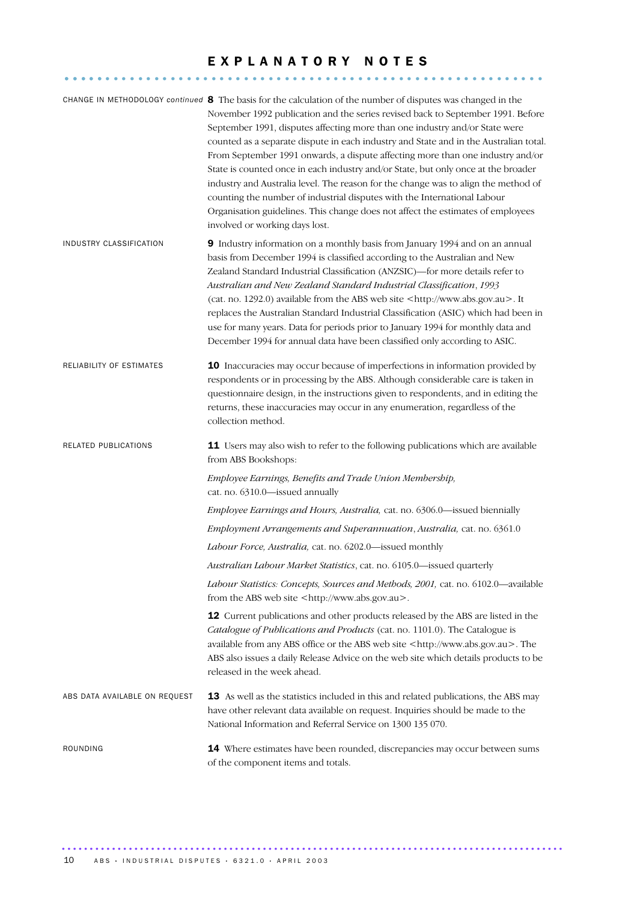## EXPLANATORY NOTES

........................................................... .....

|                               | CHANGE IN METHODOLOGY continued 8 The basis for the calculation of the number of disputes was changed in the<br>November 1992 publication and the series revised back to September 1991. Before<br>September 1991, disputes affecting more than one industry and/or State were<br>counted as a separate dispute in each industry and State and in the Australian total.<br>From September 1991 onwards, a dispute affecting more than one industry and/or<br>State is counted once in each industry and/or State, but only once at the broader<br>industry and Australia level. The reason for the change was to align the method of<br>counting the number of industrial disputes with the International Labour<br>Organisation guidelines. This change does not affect the estimates of employees<br>involved or working days lost. |
|-------------------------------|---------------------------------------------------------------------------------------------------------------------------------------------------------------------------------------------------------------------------------------------------------------------------------------------------------------------------------------------------------------------------------------------------------------------------------------------------------------------------------------------------------------------------------------------------------------------------------------------------------------------------------------------------------------------------------------------------------------------------------------------------------------------------------------------------------------------------------------|
| INDUSTRY CLASSIFICATION       | 9 Industry information on a monthly basis from January 1994 and on an annual<br>basis from December 1994 is classified according to the Australian and New<br>Zealand Standard Industrial Classification (ANZSIC)-for more details refer to<br>Australian and New Zealand Standard Industrial Classification, 1993<br>(cat. no. 1292.0) available from the ABS web site <http: www.abs.gov.au="">. It<br/>replaces the Australian Standard Industrial Classification (ASIC) which had been in<br/>use for many years. Data for periods prior to January 1994 for monthly data and<br/>December 1994 for annual data have been classified only according to ASIC.</http:>                                                                                                                                                              |
| RELIABILITY OF ESTIMATES      | 10 Inaccuracies may occur because of imperfections in information provided by<br>respondents or in processing by the ABS. Although considerable care is taken in<br>questionnaire design, in the instructions given to respondents, and in editing the<br>returns, these inaccuracies may occur in any enumeration, regardless of the<br>collection method.                                                                                                                                                                                                                                                                                                                                                                                                                                                                           |
| RELATED PUBLICATIONS          | 11 Users may also wish to refer to the following publications which are available<br>from ABS Bookshops:                                                                                                                                                                                                                                                                                                                                                                                                                                                                                                                                                                                                                                                                                                                              |
|                               | Employee Earnings, Benefits and Trade Union Membership,<br>cat. no. 6310.0-issued annually                                                                                                                                                                                                                                                                                                                                                                                                                                                                                                                                                                                                                                                                                                                                            |
|                               | Employee Earnings and Hours, Australia, cat. no. 6306.0-issued biennially                                                                                                                                                                                                                                                                                                                                                                                                                                                                                                                                                                                                                                                                                                                                                             |
|                               | Employment Arrangements and Superannuation, Australia, cat. no. 6361.0                                                                                                                                                                                                                                                                                                                                                                                                                                                                                                                                                                                                                                                                                                                                                                |
|                               | Labour Force, Australia, cat. no. 6202.0-issued monthly                                                                                                                                                                                                                                                                                                                                                                                                                                                                                                                                                                                                                                                                                                                                                                               |
|                               | Australian Labour Market Statistics, cat. no. 6105.0-issued quarterly                                                                                                                                                                                                                                                                                                                                                                                                                                                                                                                                                                                                                                                                                                                                                                 |
|                               | Labour Statistics: Concepts, Sources and Methods, 2001, cat. no. 6102.0-available<br>from the ABS web site <http: www.abs.gov.au="">.</http:>                                                                                                                                                                                                                                                                                                                                                                                                                                                                                                                                                                                                                                                                                         |
|                               | 12 Current publications and other products released by the ABS are listed in the<br>Catalogue of Publications and Products (cat. no. 1101.0). The Catalogue is<br>available from any ABS office or the ABS web site <http: www.abs.gov.au="">. The<br/>ABS also issues a daily Release Advice on the web site which details products to be<br/>released in the week ahead.</http:>                                                                                                                                                                                                                                                                                                                                                                                                                                                    |
| ABS DATA AVAILABLE ON REQUEST | 13 As well as the statistics included in this and related publications, the ABS may<br>have other relevant data available on request. Inquiries should be made to the<br>National Information and Referral Service on 1300 135 070.                                                                                                                                                                                                                                                                                                                                                                                                                                                                                                                                                                                                   |
| ROUNDING                      | 14 Where estimates have been rounded, discrepancies may occur between sums<br>of the component items and totals.                                                                                                                                                                                                                                                                                                                                                                                                                                                                                                                                                                                                                                                                                                                      |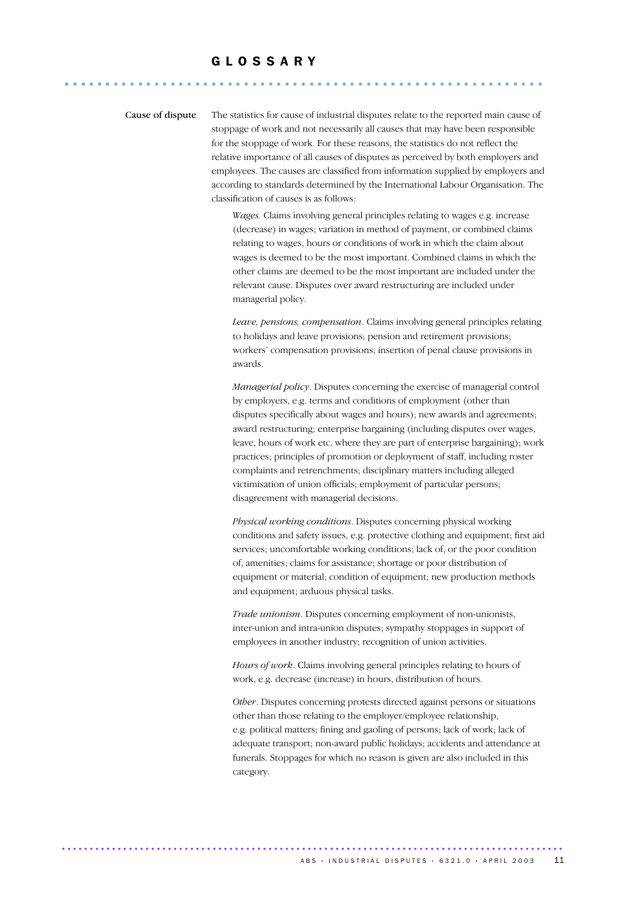## G L O S S A R Y ........................................................... ......

Cause of dispute The statistics for cause of industrial disputes relate to the reported main cause of stoppage of work and not necessarily all causes that may have been responsible for the stoppage of work. For these reasons, the statistics do not reflect the relative importance of all causes of disputes as perceived by both employers and employees. The causes are classified from information supplied by employers and according to standards determined by the International Labour Organisation. The classification of causes is as follows:

> *Wages.* Claims involving general principles relating to wages e.g. increase (decrease) in wages; variation in method of payment, or combined claims relating to wages, hours or conditions of work in which the claim about wages is deemed to be the most important. Combined claims in which the other claims are deemed to be the most important are included under the relevant cause. Disputes over award restructuring are included under managerial policy.

*Leave, pensions, compensation*. Claims involving general principles relating to holidays and leave provisions; pension and retirement provisions; workers' compensation provisions; insertion of penal clause provisions in awards.

*Managerial policy*. Disputes concerning the exercise of managerial control by employers, e.g. terms and conditions of employment (other than disputes specifically about wages and hours); new awards and agreements; award restructuring; enterprise bargaining (including disputes over wages, leave, hours of work etc. where they are part of enterprise bargaining); work practices; principles of promotion or deployment of staff, including roster complaints and retrenchments; disciplinary matters including alleged victimisation of union officials; employment of particular persons; disagreement with managerial decisions.

*Physical working conditions*. Disputes concerning physical working conditions and safety issues, e.g. protective clothing and equipment; first aid services; uncomfortable working conditions; lack of, or the poor condition of, amenities; claims for assistance; shortage or poor distribution of equipment or material; condition of equipment; new production methods and equipment; arduous physical tasks.

*Trade unionism*. Disputes concerning employment of non-unionists, inter-union and intra-union disputes; sympathy stoppages in support of employees in another industry; recognition of union activities.

*Hours of work*. Claims involving general principles relating to hours of work, e.g. decrease (increase) in hours, distribution of hours.

*Other*. Disputes concerning protests directed against persons or situations other than those relating to the employer/employee relationship, e.g. political matters; fining and gaoling of persons; lack of work; lack of adequate transport; non-award public holidays; accidents and attendance at funerals. Stoppages for which no reason is given are also included in this category.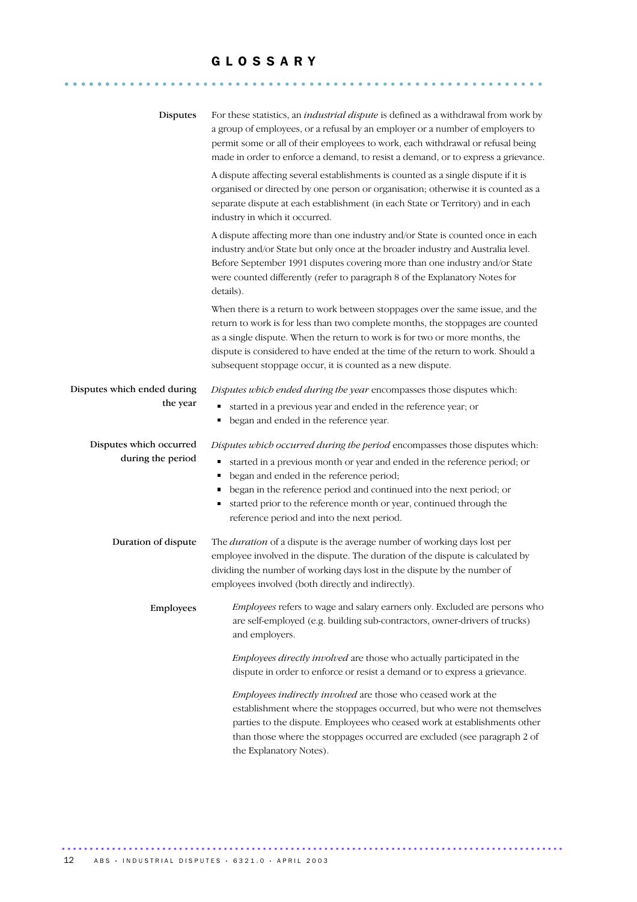## G L O S S A R Y

........................................................... ......

| Disputes                    | For these statistics, an <i>industrial dispute</i> is defined as a withdrawal from work by<br>a group of employees, or a refusal by an employer or a number of employers to<br>permit some or all of their employees to work, each withdrawal or refusal being<br>made in order to enforce a demand, to resist a demand, or to express a grievance.                                             |
|-----------------------------|-------------------------------------------------------------------------------------------------------------------------------------------------------------------------------------------------------------------------------------------------------------------------------------------------------------------------------------------------------------------------------------------------|
|                             | A dispute affecting several establishments is counted as a single dispute if it is<br>organised or directed by one person or organisation; otherwise it is counted as a<br>separate dispute at each establishment (in each State or Territory) and in each<br>industry in which it occurred.                                                                                                    |
|                             | A dispute affecting more than one industry and/or State is counted once in each<br>industry and/or State but only once at the broader industry and Australia level.<br>Before September 1991 disputes covering more than one industry and/or State<br>were counted differently (refer to paragraph 8 of the Explanatory Notes for<br>details).                                                  |
|                             | When there is a return to work between stoppages over the same issue, and the<br>return to work is for less than two complete months, the stoppages are counted<br>as a single dispute. When the return to work is for two or more months, the<br>dispute is considered to have ended at the time of the return to work. Should a<br>subsequent stoppage occur, it is counted as a new dispute. |
| Disputes which ended during | Disputes which ended during the year encompasses those disputes which:                                                                                                                                                                                                                                                                                                                          |
| the year                    | started in a previous year and ended in the reference year; or<br>began and ended in the reference year.<br>٠                                                                                                                                                                                                                                                                                   |
| Disputes which occurred     | Disputes which occurred during the period encompasses those disputes which:                                                                                                                                                                                                                                                                                                                     |
| during the period           | started in a previous month or year and ended in the reference period; or<br>٠                                                                                                                                                                                                                                                                                                                  |
|                             | began and ended in the reference period;<br>٠                                                                                                                                                                                                                                                                                                                                                   |
|                             | began in the reference period and continued into the next period; or<br>٠<br>started prior to the reference month or year, continued through the<br>٠<br>reference period and into the next period.                                                                                                                                                                                             |
| Duration of dispute         | The <i>duration</i> of a dispute is the average number of working days lost per<br>employee involved in the dispute. The duration of the dispute is calculated by<br>dividing the number of working days lost in the dispute by the number of<br>employees involved (both directly and indirectly).                                                                                             |
| Employees                   | <i>Employees</i> refers to wage and salary earners only. Excluded are persons who<br>are self-employed (e.g. building sub-contractors, owner-drivers of trucks)<br>and employers.                                                                                                                                                                                                               |
|                             | Employees directly involved are those who actually participated in the<br>dispute in order to enforce or resist a demand or to express a grievance.                                                                                                                                                                                                                                             |
|                             | <i>Employees indirectly involved are those who ceased work at the</i>                                                                                                                                                                                                                                                                                                                           |
|                             | establishment where the stoppages occurred, but who were not themselves                                                                                                                                                                                                                                                                                                                         |
|                             | parties to the dispute. Employees who ceased work at establishments other<br>than those where the stoppages occurred are excluded (see paragraph 2 of<br>the Explanatory Notes).                                                                                                                                                                                                                |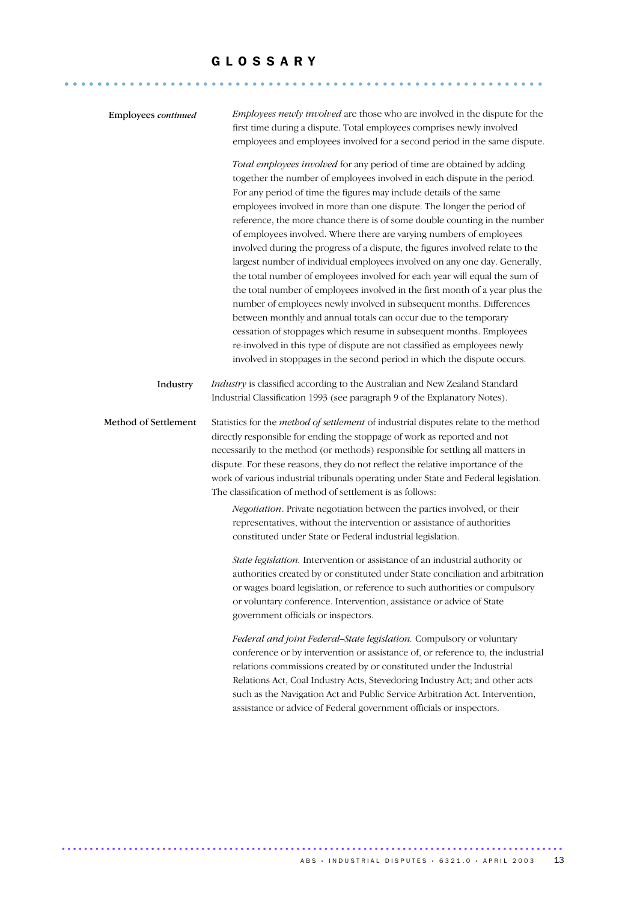........................................................... ......

| Employees continued  | Employees newly involved are those who are involved in the dispute for the<br>first time during a dispute. Total employees comprises newly involved<br>employees and employees involved for a second period in the same dispute.                                                                                                                                                                                                                                                                                                                                                                                                                                                                                                                                                                                                                                                                                                                                                                                                                                                                                                                              |
|----------------------|---------------------------------------------------------------------------------------------------------------------------------------------------------------------------------------------------------------------------------------------------------------------------------------------------------------------------------------------------------------------------------------------------------------------------------------------------------------------------------------------------------------------------------------------------------------------------------------------------------------------------------------------------------------------------------------------------------------------------------------------------------------------------------------------------------------------------------------------------------------------------------------------------------------------------------------------------------------------------------------------------------------------------------------------------------------------------------------------------------------------------------------------------------------|
|                      | Total employees involved for any period of time are obtained by adding<br>together the number of employees involved in each dispute in the period.<br>For any period of time the figures may include details of the same<br>employees involved in more than one dispute. The longer the period of<br>reference, the more chance there is of some double counting in the number<br>of employees involved. Where there are varying numbers of employees<br>involved during the progress of a dispute, the figures involved relate to the<br>largest number of individual employees involved on any one day. Generally,<br>the total number of employees involved for each year will equal the sum of<br>the total number of employees involved in the first month of a year plus the<br>number of employees newly involved in subsequent months. Differences<br>between monthly and annual totals can occur due to the temporary<br>cessation of stoppages which resume in subsequent months. Employees<br>re-involved in this type of dispute are not classified as employees newly<br>involved in stoppages in the second period in which the dispute occurs. |
| Industry             | Industry is classified according to the Australian and New Zealand Standard<br>Industrial Classification 1993 (see paragraph 9 of the Explanatory Notes).                                                                                                                                                                                                                                                                                                                                                                                                                                                                                                                                                                                                                                                                                                                                                                                                                                                                                                                                                                                                     |
| Method of Settlement | Statistics for the method of settlement of industrial disputes relate to the method<br>directly responsible for ending the stoppage of work as reported and not<br>necessarily to the method (or methods) responsible for settling all matters in<br>dispute. For these reasons, they do not reflect the relative importance of the<br>work of various industrial tribunals operating under State and Federal legislation.<br>The classification of method of settlement is as follows:                                                                                                                                                                                                                                                                                                                                                                                                                                                                                                                                                                                                                                                                       |
|                      | Negotiation. Private negotiation between the parties involved, or their<br>representatives, without the intervention or assistance of authorities<br>constituted under State or Federal industrial legislation.                                                                                                                                                                                                                                                                                                                                                                                                                                                                                                                                                                                                                                                                                                                                                                                                                                                                                                                                               |
|                      | State legislation. Intervention or assistance of an industrial authority or<br>authorities created by or constituted under State conciliation and arbitration<br>or wages board legislation, or reference to such authorities or compulsory<br>or voluntary conference. Intervention, assistance or advice of State<br>government officials or inspectors.                                                                                                                                                                                                                                                                                                                                                                                                                                                                                                                                                                                                                                                                                                                                                                                                    |
|                      | Federal and joint Federal-State legislation. Compulsory or voluntary<br>conference or by intervention or assistance of, or reference to, the industrial<br>relations commissions created by or constituted under the Industrial<br>Relations Act, Coal Industry Acts, Stevedoring Industry Act; and other acts<br>such as the Navigation Act and Public Service Arbitration Act. Intervention,<br>assistance or advice of Federal government officials or inspectors.                                                                                                                                                                                                                                                                                                                                                                                                                                                                                                                                                                                                                                                                                         |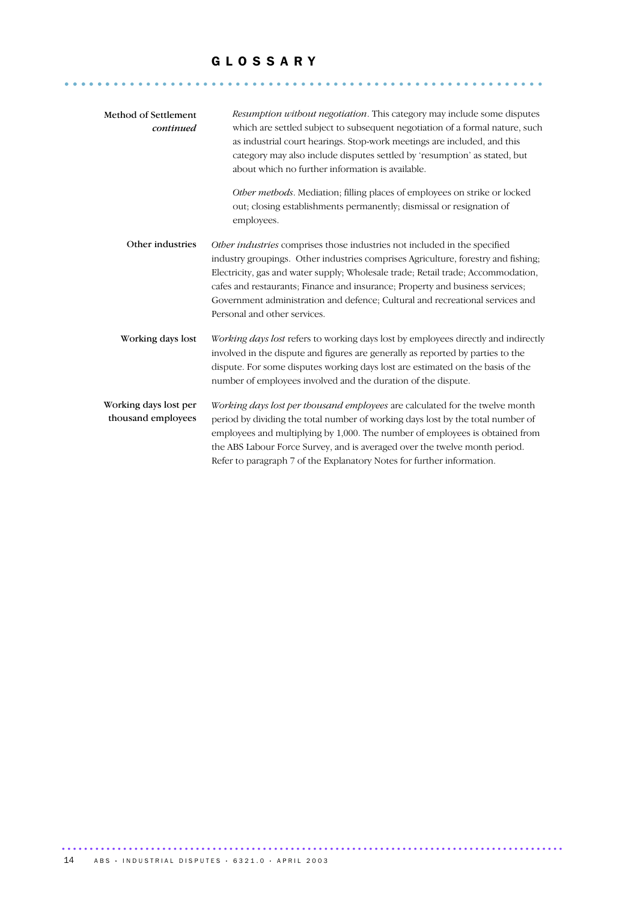## G L O S S A R Y

........................................................... ......

| Method of Settlement<br>continued           | <i>Resumption without negotiation.</i> This category may include some disputes<br>which are settled subject to subsequent negotiation of a formal nature, such<br>as industrial court hearings. Stop-work meetings are included, and this<br>category may also include disputes settled by 'resumption' as stated, but<br>about which no further information is available.                                                                           |
|---------------------------------------------|------------------------------------------------------------------------------------------------------------------------------------------------------------------------------------------------------------------------------------------------------------------------------------------------------------------------------------------------------------------------------------------------------------------------------------------------------|
|                                             | Other methods. Mediation; filling places of employees on strike or locked<br>out; closing establishments permanently; dismissal or resignation of<br>employees.                                                                                                                                                                                                                                                                                      |
| Other industries                            | Other industries comprises those industries not included in the specified<br>industry groupings. Other industries comprises Agriculture, forestry and fishing;<br>Electricity, gas and water supply; Wholesale trade; Retail trade; Accommodation,<br>cafes and restaurants; Finance and insurance; Property and business services;<br>Government administration and defence; Cultural and recreational services and<br>Personal and other services. |
| Working days lost                           | Working days lost refers to working days lost by employees directly and indirectly<br>involved in the dispute and figures are generally as reported by parties to the<br>dispute. For some disputes working days lost are estimated on the basis of the<br>number of employees involved and the duration of the dispute.                                                                                                                             |
| Working days lost per<br>thousand employees | Working days lost per thousand employees are calculated for the twelve month<br>period by dividing the total number of working days lost by the total number of<br>employees and multiplying by 1,000. The number of employees is obtained from<br>the ABS Labour Force Survey, and is averaged over the twelve month period.<br>Refer to paragraph 7 of the Explanatory Notes for further information.                                              |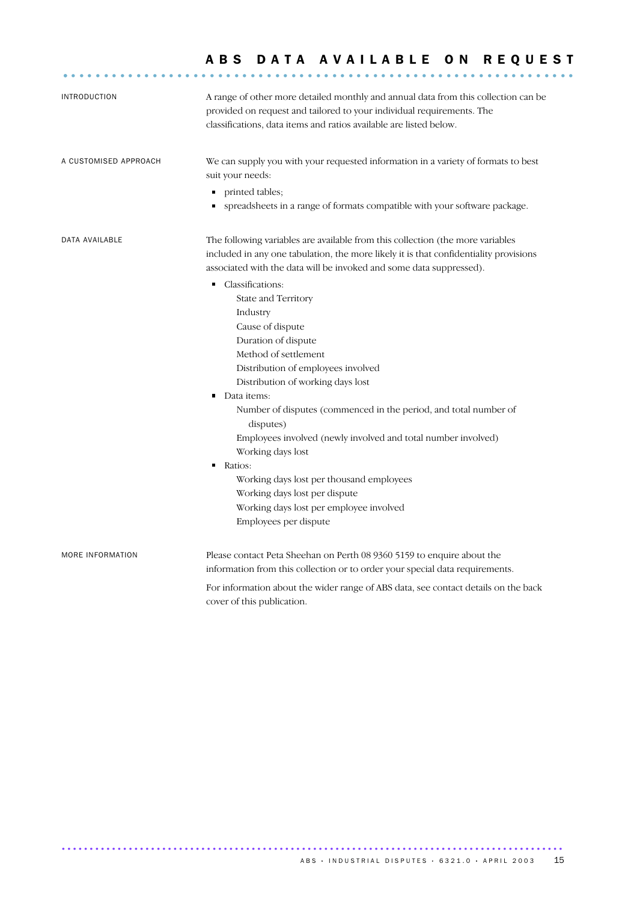| <b>INTRODUCTION</b>   | A range of other more detailed monthly and annual data from this collection can be<br>provided on request and tailored to your individual requirements. The<br>classifications, data items and ratios available are listed below.                                                                                                                                                                                                                                                                                                                                  |
|-----------------------|--------------------------------------------------------------------------------------------------------------------------------------------------------------------------------------------------------------------------------------------------------------------------------------------------------------------------------------------------------------------------------------------------------------------------------------------------------------------------------------------------------------------------------------------------------------------|
| A CUSTOMISED APPROACH | We can supply you with your requested information in a variety of formats to best<br>suit your needs:<br>printed tables;<br>٠<br>spreadsheets in a range of formats compatible with your software package.<br>٠                                                                                                                                                                                                                                                                                                                                                    |
| DATA AVAILABLE        | The following variables are available from this collection (the more variables<br>included in any one tabulation, the more likely it is that confidentiality provisions<br>associated with the data will be invoked and some data suppressed).                                                                                                                                                                                                                                                                                                                     |
|                       | Classifications:<br>п<br>State and Territory<br>Industry<br>Cause of dispute<br>Duration of dispute<br>Method of settlement<br>Distribution of employees involved<br>Distribution of working days lost<br>Data items:<br>٠<br>Number of disputes (commenced in the period, and total number of<br>disputes)<br>Employees involved (newly involved and total number involved)<br>Working days lost<br>٠<br>Ratios:<br>Working days lost per thousand employees<br>Working days lost per dispute<br>Working days lost per employee involved<br>Employees per dispute |
| MORE INFORMATION      | Please contact Peta Sheehan on Perth 08 9360 5159 to enquire about the<br>information from this collection or to order your special data requirements.                                                                                                                                                                                                                                                                                                                                                                                                             |
|                       | For information about the wider range of ABS data, see contact details on the back<br>cover of this publication.                                                                                                                                                                                                                                                                                                                                                                                                                                                   |